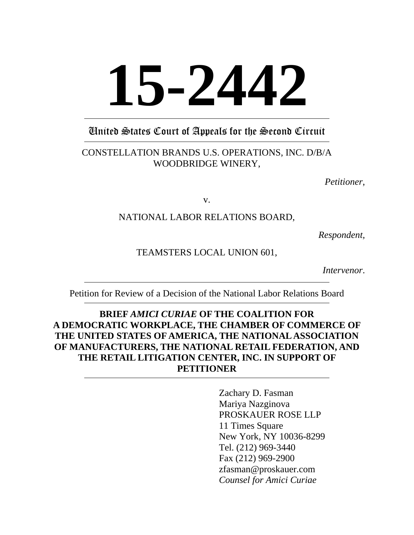# **15-2442**

# United States Court of Appeals for the Second Circuit

# CONSTELLATION BRANDS U.S. OPERATIONS, INC. D/B/A WOODBRIDGE WINERY,

*Petitioner*,

v.

# NATIONAL LABOR RELATIONS BOARD,

*Respondent,*

# TEAMSTERS LOCAL UNION 601,

*Intervenor*.

Petition for Review of a Decision of the National Labor Relations Board

# **BRIEF** *AMICI CURIAE* **OF THE COALITION FOR A DEMOCRATIC WORKPLACE, THE CHAMBER OF COMMERCE OF THE UNITED STATES OF AMERICA, THE NATIONAL ASSOCIATION OF MANUFACTURERS, THE NATIONAL RETAIL FEDERATION, AND THE RETAIL LITIGATION CENTER, INC. IN SUPPORT OF PETITIONER**

Zachary D. Fasman Mariya Nazginova PROSKAUER ROSE LLP 11 Times Square New York, NY 10036-8299 Tel. (212) 969-3440 Fax (212) 969-2900 zfasman@proskauer.com *Counsel for Amici Curiae*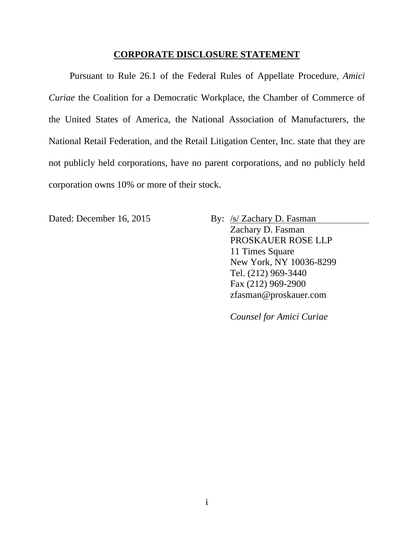#### **CORPORATE DISCLOSURE STATEMENT**

Pursuant to Rule 26.1 of the Federal Rules of Appellate Procedure, *Amici Curiae* the Coalition for a Democratic Workplace, the Chamber of Commerce of the United States of America, the National Association of Manufacturers, the National Retail Federation, and the Retail Litigation Center, Inc. state that they are not publicly held corporations, have no parent corporations, and no publicly held corporation owns 10% or more of their stock.

Dated: December 16, 2015 By: /s/ Zachary D. Fasman Zachary D. Fasman PROSKAUER ROSE LLP 11 Times Square New York, NY 10036-8299 Tel. (212) 969-3440 Fax (212) 969-2900 zfasman@proskauer.com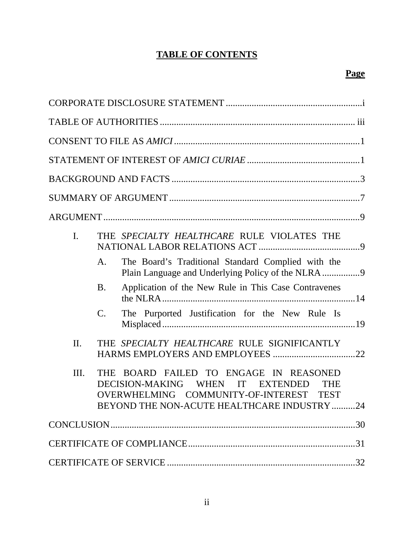# **TABLE OF CONTENTS**

| $\mathbf{I}$ . |                | THE SPECIALTY HEALTHCARE RULE VIOLATES THE                                                                                                                                                             |
|----------------|----------------|--------------------------------------------------------------------------------------------------------------------------------------------------------------------------------------------------------|
|                | A.             | The Board's Traditional Standard Complied with the                                                                                                                                                     |
|                | <b>B.</b>      | Application of the New Rule in This Case Contravenes                                                                                                                                                   |
|                | $\mathbf{C}$ . | The Purported Justification for the New Rule Is                                                                                                                                                        |
| II.            |                | THE SPECIALTY HEALTHCARE RULE SIGNIFICANTLY                                                                                                                                                            |
| Ш.             |                | THE BOARD FAILED TO ENGAGE IN REASONED<br>DECISION-MAKING WHEN IT<br><b>EXTENDED</b><br><b>THE</b><br>OVERWHELMING COMMUNITY-OF-INTEREST<br><b>TEST</b><br>BEYOND THE NON-ACUTE HEALTHCARE INDUSTRY 24 |
|                |                |                                                                                                                                                                                                        |
|                |                |                                                                                                                                                                                                        |
|                |                |                                                                                                                                                                                                        |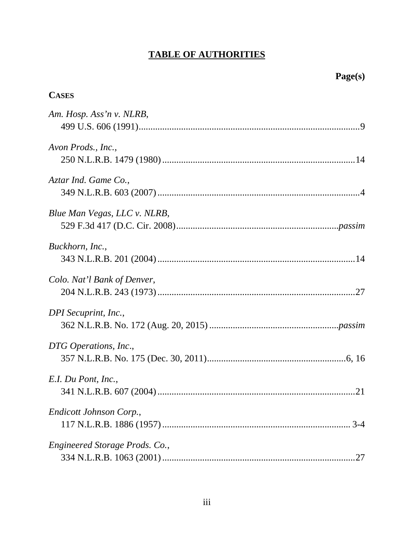# **TABLE OF AUTHORITIES**

| <b>CASES</b>                   |
|--------------------------------|
| Am. Hosp. Ass'n v. NLRB,       |
| Avon Prods., Inc.,             |
| Aztar Ind. Game Co.,           |
| Blue Man Vegas, LLC v. NLRB,   |
| Buckhorn, Inc.,                |
| Colo. Nat'l Bank of Denver,    |
| DPI Secuprint, Inc.,           |
| DTG Operations, Inc.,          |
| E.I. Du Pont, Inc.,            |
| Endicott Johnson Corp.,        |
| Engineered Storage Prods. Co., |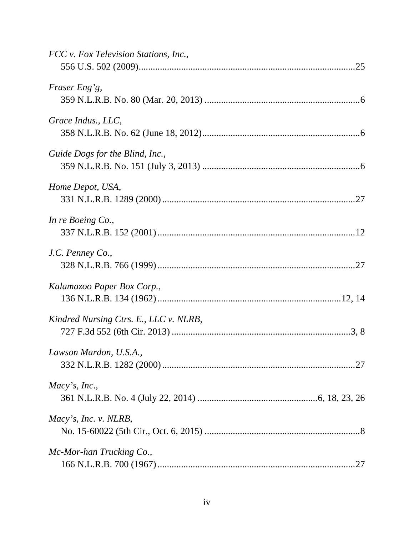| FCC v. Fox Television Stations, Inc.,  |
|----------------------------------------|
| Fraser Eng'g,                          |
| Grace Indus., LLC,                     |
| Guide Dogs for the Blind, Inc.,        |
| Home Depot, USA,                       |
| In re Boeing Co.,                      |
| J.C. Penney Co.,                       |
| Kalamazoo Paper Box Corp.,             |
| Kindred Nursing Ctrs. E., LLC v. NLRB, |
| Lawson Mardon, U.S.A.,                 |
| Macy's, Inc.,                          |
| Macy's, Inc. v. NLRB,                  |
| Mc-Mor-han Trucking Co.,               |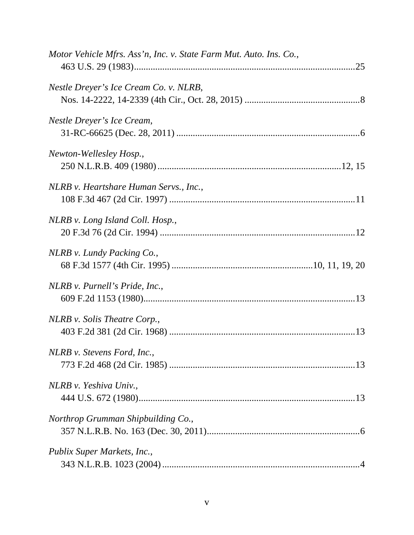| Motor Vehicle Mfrs. Ass'n, Inc. v. State Farm Mut. Auto. Ins. Co., |
|--------------------------------------------------------------------|
| Nestle Dreyer's Ice Cream Co. v. NLRB,                             |
| Nestle Dreyer's Ice Cream,                                         |
| Newton-Wellesley Hosp.,                                            |
| NLRB v. Heartshare Human Servs., Inc.,                             |
| NLRB v. Long Island Coll. Hosp.,                                   |
| NLRB v. Lundy Packing Co.,                                         |
| NLRB v. Purnell's Pride, Inc.,                                     |
| NLRB v. Solis Theatre Corp.,                                       |
| NLRB v. Stevens Ford, Inc.,                                        |
| NLRB v. Yeshiva Univ.,                                             |
| Northrop Grumman Shipbuilding Co.,                                 |
| Publix Super Markets, Inc.,                                        |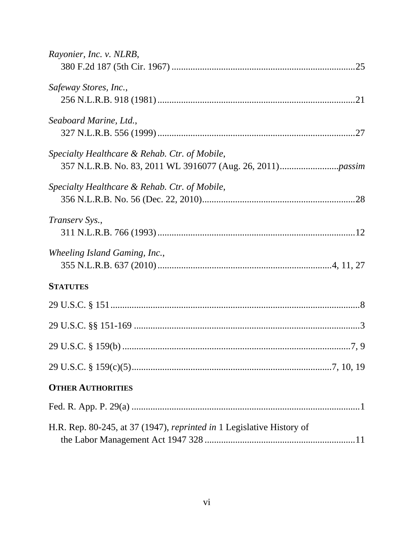| Rayonier, Inc. v. NLRB,                                                      |  |
|------------------------------------------------------------------------------|--|
|                                                                              |  |
| Safeway Stores, Inc.,                                                        |  |
|                                                                              |  |
| Seaboard Marine, Ltd.,                                                       |  |
|                                                                              |  |
| Specialty Healthcare & Rehab. Ctr. of Mobile,                                |  |
|                                                                              |  |
| Specialty Healthcare & Rehab. Ctr. of Mobile,                                |  |
|                                                                              |  |
| Transerv Sys.,                                                               |  |
|                                                                              |  |
| Wheeling Island Gaming, Inc.,                                                |  |
|                                                                              |  |
| <b>STATUTES</b>                                                              |  |
|                                                                              |  |
|                                                                              |  |
|                                                                              |  |
|                                                                              |  |
| <b>OTHER AUTHORITIES</b>                                                     |  |
|                                                                              |  |
| H.R. Rep. 80-245, at 37 (1947), <i>reprinted in</i> 1 Legislative History of |  |
|                                                                              |  |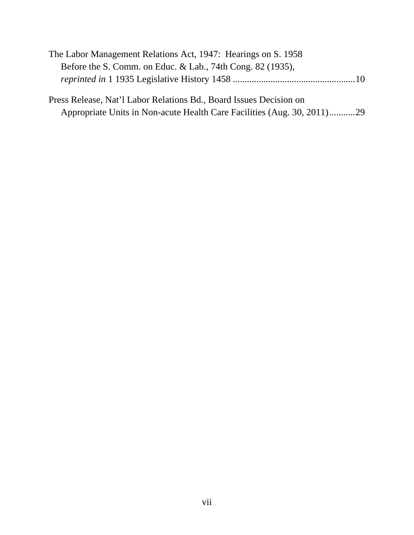| The Labor Management Relations Act, 1947: Hearings on S. 1958      |
|--------------------------------------------------------------------|
| Before the S. Comm. on Educ. & Lab., 74th Cong. 82 (1935),         |
|                                                                    |
| Press Release, Nat'l Labor Relations Bd., Board Issues Decision on |

| Appropriate Units in Non-acute Health Care Facilities (Aug. 30, 2011)29 |  |  |
|-------------------------------------------------------------------------|--|--|
|                                                                         |  |  |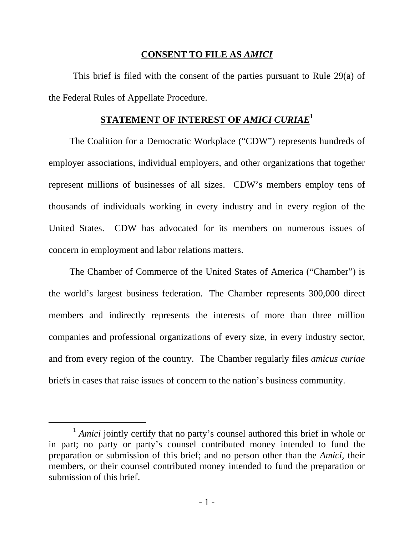### **CONSENT TO FILE AS** *AMICI*

 This brief is filed with the consent of the parties pursuant to Rule 29(a) of the Federal Rules of Appellate Procedure.

# **STATEMENT OF INTEREST OF** *AMICI CURIAE***<sup>1</sup>**

The Coalition for a Democratic Workplace ("CDW") represents hundreds of employer associations, individual employers, and other organizations that together represent millions of businesses of all sizes. CDW's members employ tens of thousands of individuals working in every industry and in every region of the United States. CDW has advocated for its members on numerous issues of concern in employment and labor relations matters.

The Chamber of Commerce of the United States of America ("Chamber") is the world's largest business federation. The Chamber represents 300,000 direct members and indirectly represents the interests of more than three million companies and professional organizations of every size, in every industry sector, and from every region of the country. The Chamber regularly files *amicus curiae* briefs in cases that raise issues of concern to the nation's business community.

<sup>&</sup>lt;sup>1</sup> *Amici* jointly certify that no party's counsel authored this brief in whole or in part; no party or party's counsel contributed money intended to fund the preparation or submission of this brief; and no person other than the *Amici*, their members, or their counsel contributed money intended to fund the preparation or submission of this brief.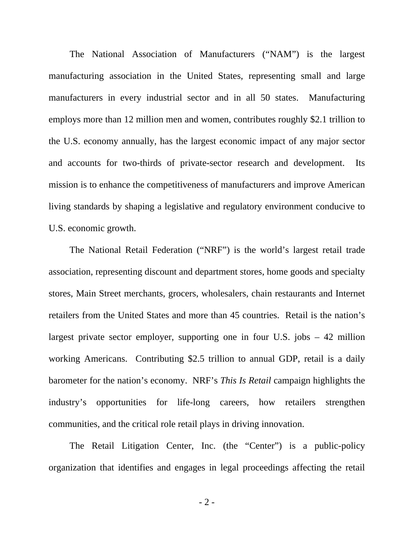The National Association of Manufacturers ("NAM") is the largest manufacturing association in the United States, representing small and large manufacturers in every industrial sector and in all 50 states. Manufacturing employs more than 12 million men and women, contributes roughly \$2.1 trillion to the U.S. economy annually, has the largest economic impact of any major sector and accounts for two-thirds of private-sector research and development. Its mission is to enhance the competitiveness of manufacturers and improve American living standards by shaping a legislative and regulatory environment conducive to U.S. economic growth.

The National Retail Federation ("NRF") is the world's largest retail trade association, representing discount and department stores, home goods and specialty stores, Main Street merchants, grocers, wholesalers, chain restaurants and Internet retailers from the United States and more than 45 countries. Retail is the nation's largest private sector employer, supporting one in four U.S. jobs – 42 million working Americans. Contributing \$2.5 trillion to annual GDP, retail is a daily barometer for the nation's economy. NRF's *This Is Retail* campaign highlights the industry's opportunities for life-long careers, how retailers strengthen communities, and the critical role retail plays in driving innovation.

The Retail Litigation Center, Inc. (the "Center") is a public-policy organization that identifies and engages in legal proceedings affecting the retail

- 2 -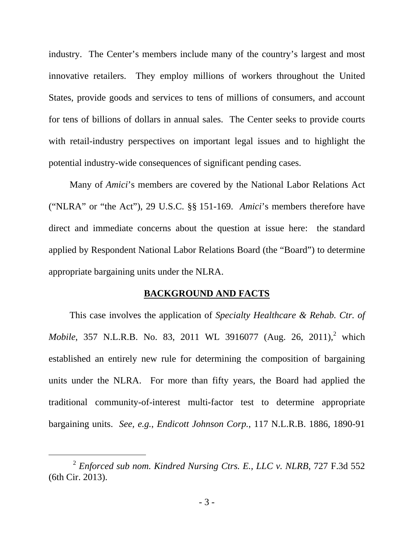industry. The Center's members include many of the country's largest and most innovative retailers. They employ millions of workers throughout the United States, provide goods and services to tens of millions of consumers, and account for tens of billions of dollars in annual sales. The Center seeks to provide courts with retail-industry perspectives on important legal issues and to highlight the potential industry-wide consequences of significant pending cases.

Many of *Amici*'s members are covered by the National Labor Relations Act ("NLRA" or "the Act"), 29 U.S.C. §§ 151-169. *Amici*'s members therefore have direct and immediate concerns about the question at issue here: the standard applied by Respondent National Labor Relations Board (the "Board") to determine appropriate bargaining units under the NLRA.

#### **BACKGROUND AND FACTS**

This case involves the application of *Specialty Healthcare & Rehab. Ctr. of Mobile*, 357 N.L.R.B. No. 83, 2011 WL 3916077 (Aug. 26, 2011),<sup>2</sup> which established an entirely new rule for determining the composition of bargaining units under the NLRA. For more than fifty years, the Board had applied the traditional community-of-interest multi-factor test to determine appropriate bargaining units. *See, e.g.*, *Endicott Johnson Corp.*, 117 N.L.R.B. 1886, 1890-91

 <sup>2</sup> *Enforced sub nom. Kindred Nursing Ctrs. E., LLC v. NLRB*, 727 F.3d 552 (6th Cir. 2013).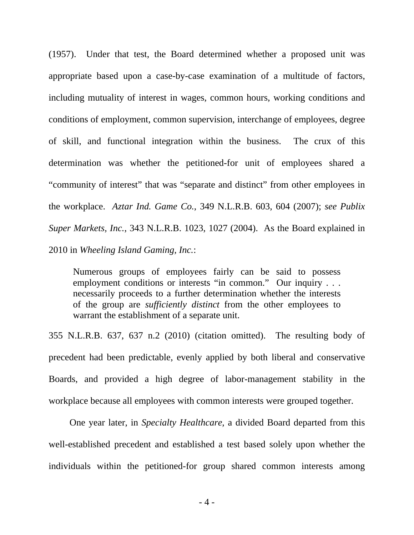(1957). Under that test, the Board determined whether a proposed unit was appropriate based upon a case-by-case examination of a multitude of factors, including mutuality of interest in wages, common hours, working conditions and conditions of employment, common supervision, interchange of employees, degree of skill, and functional integration within the business. The crux of this determination was whether the petitioned-for unit of employees shared a "community of interest" that was "separate and distinct" from other employees in the workplace. *Aztar Ind. Game Co.*, 349 N.L.R.B. 603, 604 (2007); *see Publix Super Markets, Inc.*, 343 N.L.R.B. 1023, 1027 (2004). As the Board explained in 2010 in *Wheeling Island Gaming, Inc.*:

Numerous groups of employees fairly can be said to possess employment conditions or interests "in common." Our inquiry . . . necessarily proceeds to a further determination whether the interests of the group are *sufficiently distinct* from the other employees to warrant the establishment of a separate unit.

355 N.L.R.B. 637, 637 n.2 (2010) (citation omitted). The resulting body of precedent had been predictable, evenly applied by both liberal and conservative Boards, and provided a high degree of labor-management stability in the workplace because all employees with common interests were grouped together.

One year later, in *Specialty Healthcare*, a divided Board departed from this well-established precedent and established a test based solely upon whether the individuals within the petitioned-for group shared common interests among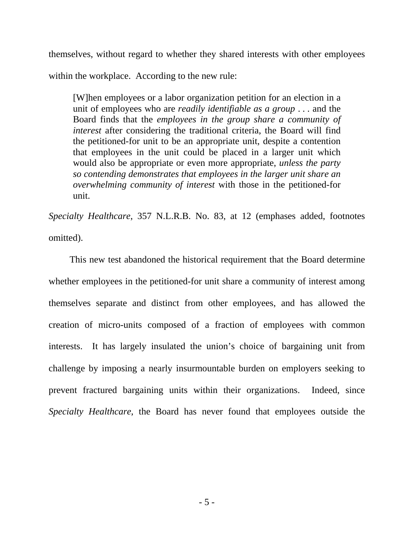themselves, without regard to whether they shared interests with other employees within the workplace. According to the new rule:

[W]hen employees or a labor organization petition for an election in a unit of employees who are *readily identifiable as a group* . . . and the Board finds that the *employees in the group share a community of interest* after considering the traditional criteria, the Board will find the petitioned-for unit to be an appropriate unit, despite a contention that employees in the unit could be placed in a larger unit which would also be appropriate or even more appropriate, *unless the party so contending demonstrates that employees in the larger unit share an overwhelming community of interest* with those in the petitioned-for unit.

*Specialty Healthcare*, 357 N.L.R.B. No. 83, at 12 (emphases added, footnotes omitted).

This new test abandoned the historical requirement that the Board determine whether employees in the petitioned-for unit share a community of interest among themselves separate and distinct from other employees, and has allowed the creation of micro-units composed of a fraction of employees with common interests. It has largely insulated the union's choice of bargaining unit from challenge by imposing a nearly insurmountable burden on employers seeking to prevent fractured bargaining units within their organizations. Indeed, since *Specialty Healthcare*, the Board has never found that employees outside the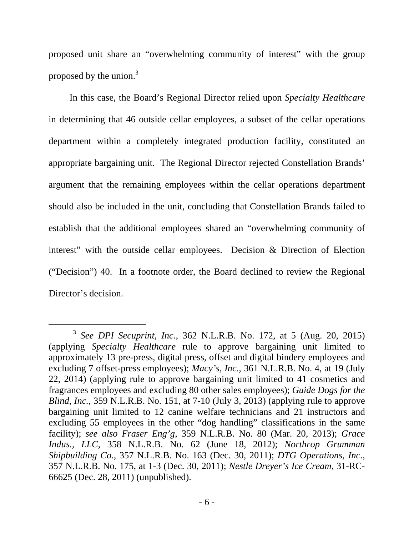proposed unit share an "overwhelming community of interest" with the group proposed by the union. $3$ 

In this case, the Board's Regional Director relied upon *Specialty Healthcare* in determining that 46 outside cellar employees, a subset of the cellar operations department within a completely integrated production facility, constituted an appropriate bargaining unit. The Regional Director rejected Constellation Brands' argument that the remaining employees within the cellar operations department should also be included in the unit, concluding that Constellation Brands failed to establish that the additional employees shared an "overwhelming community of interest" with the outside cellar employees. Decision & Direction of Election ("Decision") 40. In a footnote order, the Board declined to review the Regional Director's decision.

 <sup>3</sup> *See DPI Secuprint, Inc.*, 362 N.L.R.B. No. 172, at 5 (Aug. 20, 2015) (applying *Specialty Healthcare* rule to approve bargaining unit limited to approximately 13 pre-press, digital press, offset and digital bindery employees and excluding 7 offset-press employees); *Macy's, Inc*., 361 N.L.R.B. No. 4, at 19 (July 22, 2014) (applying rule to approve bargaining unit limited to 41 cosmetics and fragrances employees and excluding 80 other sales employees); *Guide Dogs for the Blind, Inc.,* 359 N.L.R.B. No. 151, at 7-10 (July 3, 2013) (applying rule to approve bargaining unit limited to 12 canine welfare technicians and 21 instructors and excluding 55 employees in the other "dog handling" classifications in the same facility); *see also Fraser Eng'g*, 359 N.L.R.B. No. 80 (Mar. 20, 2013); *Grace Indus., LLC*, 358 N.L.R.B. No. 62 (June 18, 2012); *Northrop Grumman Shipbuilding Co.*, 357 N.L.R.B. No. 163 (Dec. 30, 2011); *DTG Operations, Inc*., 357 N.L.R.B. No. 175, at 1-3 (Dec. 30, 2011); *Nestle Dreyer's Ice Cream*, 31-RC-66625 (Dec. 28, 2011) (unpublished).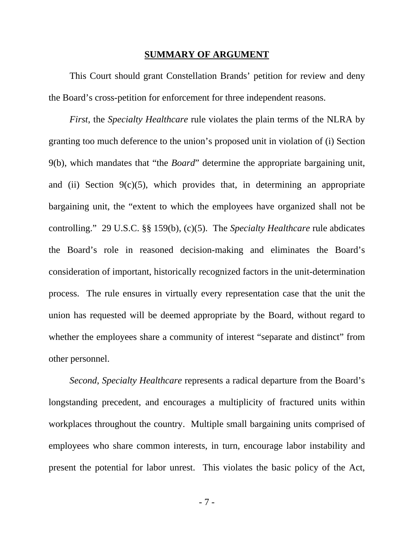#### **SUMMARY OF ARGUMENT**

This Court should grant Constellation Brands' petition for review and deny the Board's cross-petition for enforcement for three independent reasons.

*First*, the *Specialty Healthcare* rule violates the plain terms of the NLRA by granting too much deference to the union's proposed unit in violation of (i) Section 9(b), which mandates that "the *Board*" determine the appropriate bargaining unit, and (ii) Section  $9(c)(5)$ , which provides that, in determining an appropriate bargaining unit, the "extent to which the employees have organized shall not be controlling." 29 U.S.C. §§ 159(b), (c)(5). The *Specialty Healthcare* rule abdicates the Board's role in reasoned decision-making and eliminates the Board's consideration of important, historically recognized factors in the unit-determination process. The rule ensures in virtually every representation case that the unit the union has requested will be deemed appropriate by the Board, without regard to whether the employees share a community of interest "separate and distinct" from other personnel.

*Second*, *Specialty Healthcare* represents a radical departure from the Board's longstanding precedent, and encourages a multiplicity of fractured units within workplaces throughout the country. Multiple small bargaining units comprised of employees who share common interests, in turn, encourage labor instability and present the potential for labor unrest. This violates the basic policy of the Act,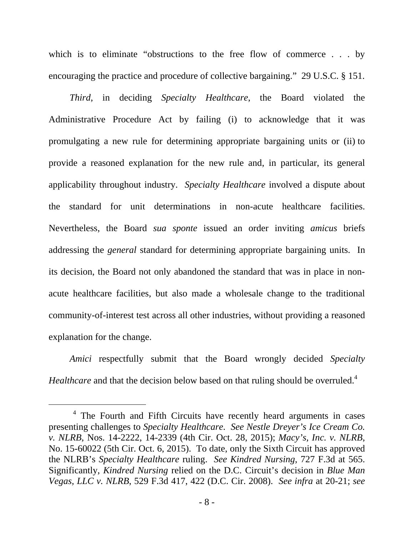which is to eliminate "obstructions to the free flow of commerce . . . by encouraging the practice and procedure of collective bargaining." 29 U.S.C. § 151.

*Third*, in deciding *Specialty Healthcare*, the Board violated the Administrative Procedure Act by failing (i) to acknowledge that it was promulgating a new rule for determining appropriate bargaining units or (ii) to provide a reasoned explanation for the new rule and, in particular, its general applicability throughout industry. *Specialty Healthcare* involved a dispute about the standard for unit determinations in non-acute healthcare facilities. Nevertheless, the Board *sua sponte* issued an order inviting *amicus* briefs addressing the *general* standard for determining appropriate bargaining units. In its decision, the Board not only abandoned the standard that was in place in nonacute healthcare facilities, but also made a wholesale change to the traditional community-of-interest test across all other industries, without providing a reasoned explanation for the change.

*Amici* respectfully submit that the Board wrongly decided *Specialty Healthcare* and that the decision below based on that ruling should be overruled.<sup>4</sup>

 $\overline{4}$ <sup>4</sup> The Fourth and Fifth Circuits have recently heard arguments in cases presenting challenges to *Specialty Healthcare*. *See Nestle Dreyer's Ice Cream Co. v. NLRB*, Nos. 14-2222, 14-2339 (4th Cir. Oct. 28, 2015); *Macy's, Inc. v. NLRB*, No. 15-60022 (5th Cir. Oct. 6, 2015). To date, only the Sixth Circuit has approved the NLRB's *Specialty Healthcare* ruling. *See Kindred Nursing*, 727 F.3d at 565. Significantly, *Kindred Nursing* relied on the D.C. Circuit's decision in *Blue Man Vegas, LLC v. NLRB*, 529 F.3d 417, 422 (D.C. Cir. 2008). *See infra* at 20-21; *see*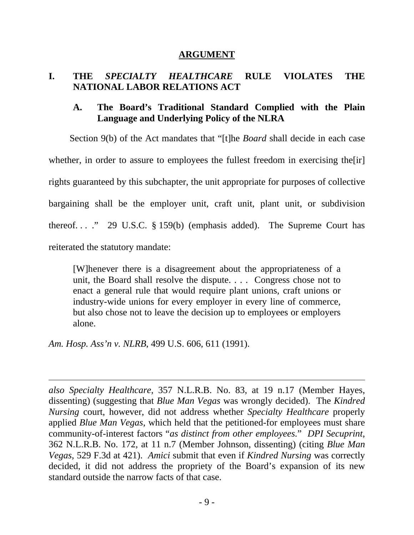#### **ARGUMENT**

# **I. THE** *SPECIALTY HEALTHCARE* **RULE VIOLATES THE NATIONAL LABOR RELATIONS ACT**

# **A. The Board's Traditional Standard Complied with the Plain Language and Underlying Policy of the NLRA**

Section 9(b) of the Act mandates that "[t]he *Board* shall decide in each case whether, in order to assure to employees the fullest freedom in exercising the [ir] rights guaranteed by this subchapter, the unit appropriate for purposes of collective bargaining shall be the employer unit, craft unit, plant unit, or subdivision thereof...." 29 U.S.C.  $\S$  159(b) (emphasis added). The Supreme Court has reiterated the statutory mandate:

[W]henever there is a disagreement about the appropriateness of a unit, the Board shall resolve the dispute. . . . Congress chose not to enact a general rule that would require plant unions, craft unions or industry-wide unions for every employer in every line of commerce, but also chose not to leave the decision up to employees or employers alone.

*Am. Hosp. Ass'n v. NLRB*, 499 U.S. 606, 611 (1991).

-

*also Specialty Healthcare*, 357 N.L.R.B. No. 83, at 19 n.17 (Member Hayes, dissenting) (suggesting that *Blue Man Vegas* was wrongly decided). The *Kindred Nursing* court, however, did not address whether *Specialty Healthcare* properly applied *Blue Man Vegas*, which held that the petitioned-for employees must share community-of-interest factors "*as distinct from other employees.*" *DPI Secuprint*, 362 N.L.R.B. No. 172, at 11 n.7 (Member Johnson, dissenting) (citing *Blue Man Vegas*, 529 F.3d at 421). *Amici* submit that even if *Kindred Nursing* was correctly decided, it did not address the propriety of the Board's expansion of its new standard outside the narrow facts of that case.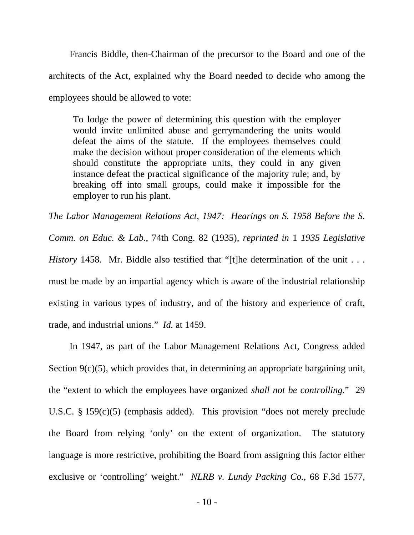Francis Biddle, then-Chairman of the precursor to the Board and one of the architects of the Act, explained why the Board needed to decide who among the employees should be allowed to vote:

To lodge the power of determining this question with the employer would invite unlimited abuse and gerrymandering the units would defeat the aims of the statute. If the employees themselves could make the decision without proper consideration of the elements which should constitute the appropriate units, they could in any given instance defeat the practical significance of the majority rule; and, by breaking off into small groups, could make it impossible for the employer to run his plant.

*The Labor Management Relations Act, 1947: Hearings on S. 1958 Before the S. Comm. on Educ. & Lab.*, 74th Cong. 82 (1935), *reprinted in* 1 *1935 Legislative History* 1458. Mr. Biddle also testified that "[t]he determination of the unit . . . must be made by an impartial agency which is aware of the industrial relationship existing in various types of industry, and of the history and experience of craft, trade, and industrial unions." *Id.* at 1459.

In 1947, as part of the Labor Management Relations Act, Congress added Section 9(c)(5), which provides that, in determining an appropriate bargaining unit, the "extent to which the employees have organized *shall not be controlling.*" 29 U.S.C. § 159(c)(5) (emphasis added). This provision "does not merely preclude the Board from relying 'only' on the extent of organization. The statutory language is more restrictive, prohibiting the Board from assigning this factor either exclusive or 'controlling' weight." *NLRB v. Lundy Packing Co.*, 68 F.3d 1577,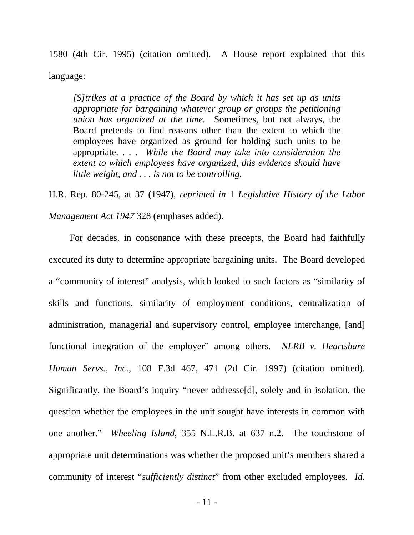1580 (4th Cir. 1995) (citation omitted). A House report explained that this language:

*[S]trikes at a practice of the Board by which it has set up as units appropriate for bargaining whatever group or groups the petitioning union has organized at the time.* Sometimes, but not always, the Board pretends to find reasons other than the extent to which the employees have organized as ground for holding such units to be appropriate. . . . *While the Board may take into consideration the extent to which employees have organized, this evidence should have little weight, and . . . is not to be controlling.*

H.R. Rep. 80-245, at 37 (1947), *reprinted in* 1 *Legislative History of the Labor Management Act 1947* 328 (emphases added).

For decades, in consonance with these precepts, the Board had faithfully executed its duty to determine appropriate bargaining units. The Board developed a "community of interest" analysis, which looked to such factors as "similarity of skills and functions, similarity of employment conditions, centralization of administration, managerial and supervisory control, employee interchange, [and] functional integration of the employer" among others. *NLRB v. Heartshare Human Servs., Inc.*, 108 F.3d 467, 471 (2d Cir. 1997) (citation omitted). Significantly, the Board's inquiry "never addresse[d], solely and in isolation, the question whether the employees in the unit sought have interests in common with one another." *Wheeling Island*, 355 N.L.R.B. at 637 n.2. The touchstone of appropriate unit determinations was whether the proposed unit's members shared a community of interest "*sufficiently distinct*" from other excluded employees. *Id.*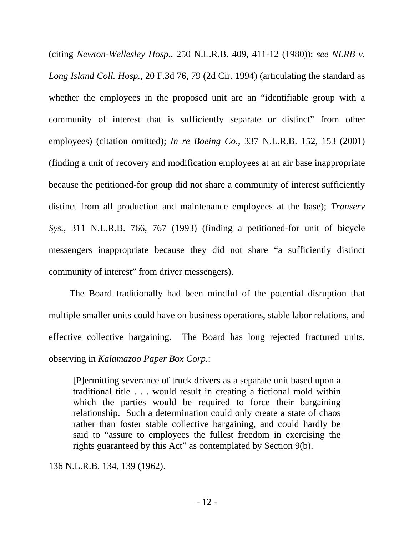(citing *Newton-Wellesley Hosp.*, 250 N.L.R.B. 409, 411-12 (1980)); *see NLRB v. Long Island Coll. Hosp.*, 20 F.3d 76, 79 (2d Cir. 1994) (articulating the standard as whether the employees in the proposed unit are an "identifiable group with a community of interest that is sufficiently separate or distinct" from other employees) (citation omitted); *In re Boeing Co.*, 337 N.L.R.B. 152, 153 (2001) (finding a unit of recovery and modification employees at an air base inappropriate because the petitioned-for group did not share a community of interest sufficiently distinct from all production and maintenance employees at the base); *Transerv Sys.*, 311 N.L.R.B. 766, 767 (1993) (finding a petitioned-for unit of bicycle messengers inappropriate because they did not share "a sufficiently distinct community of interest" from driver messengers).

The Board traditionally had been mindful of the potential disruption that multiple smaller units could have on business operations, stable labor relations, and effective collective bargaining. The Board has long rejected fractured units, observing in *Kalamazoo Paper Box Corp.*:

[P]ermitting severance of truck drivers as a separate unit based upon a traditional title . . . would result in creating a fictional mold within which the parties would be required to force their bargaining relationship. Such a determination could only create a state of chaos rather than foster stable collective bargaining, and could hardly be said to "assure to employees the fullest freedom in exercising the rights guaranteed by this Act" as contemplated by Section 9(b).

136 N.L.R.B. 134, 139 (1962).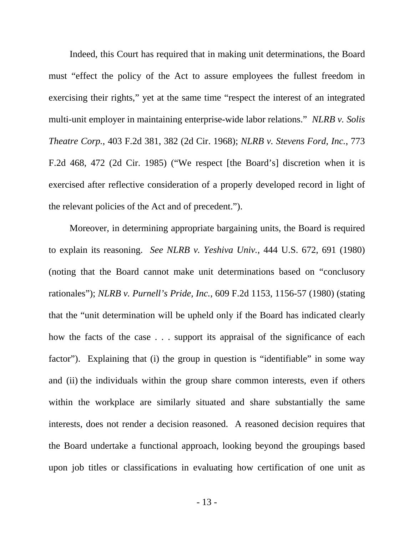Indeed, this Court has required that in making unit determinations, the Board must "effect the policy of the Act to assure employees the fullest freedom in exercising their rights," yet at the same time "respect the interest of an integrated multi-unit employer in maintaining enterprise-wide labor relations." *NLRB v. Solis Theatre Corp.*, 403 F.2d 381, 382 (2d Cir. 1968); *NLRB v. Stevens Ford, Inc.*, 773 F.2d 468, 472 (2d Cir. 1985) ("We respect [the Board's] discretion when it is exercised after reflective consideration of a properly developed record in light of the relevant policies of the Act and of precedent.").

Moreover, in determining appropriate bargaining units, the Board is required to explain its reasoning. *See NLRB v. Yeshiva Univ.*, 444 U.S. 672, 691 (1980) (noting that the Board cannot make unit determinations based on "conclusory rationales"); *NLRB v. Purnell's Pride, Inc.*, 609 F.2d 1153, 1156-57 (1980) (stating that the "unit determination will be upheld only if the Board has indicated clearly how the facts of the case . . . support its appraisal of the significance of each factor"). Explaining that (i) the group in question is "identifiable" in some way and (ii) the individuals within the group share common interests, even if others within the workplace are similarly situated and share substantially the same interests, does not render a decision reasoned. A reasoned decision requires that the Board undertake a functional approach, looking beyond the groupings based upon job titles or classifications in evaluating how certification of one unit as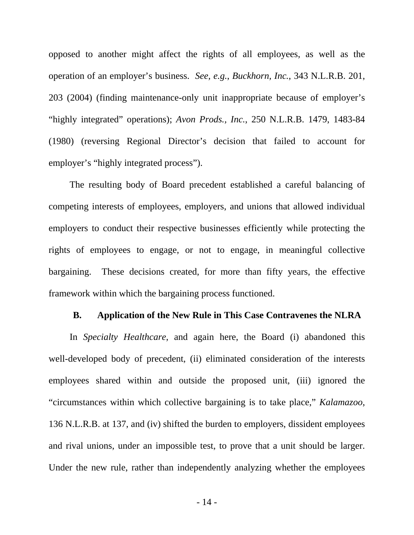opposed to another might affect the rights of all employees, as well as the operation of an employer's business. *See, e.g.*, *Buckhorn, Inc.*, 343 N.L.R.B. 201, 203 (2004) (finding maintenance-only unit inappropriate because of employer's "highly integrated" operations); *Avon Prods., Inc.*, 250 N.L.R.B. 1479, 1483-84 (1980) (reversing Regional Director's decision that failed to account for employer's "highly integrated process").

The resulting body of Board precedent established a careful balancing of competing interests of employees, employers, and unions that allowed individual employers to conduct their respective businesses efficiently while protecting the rights of employees to engage, or not to engage, in meaningful collective bargaining. These decisions created, for more than fifty years, the effective framework within which the bargaining process functioned.

#### **B. Application of the New Rule in This Case Contravenes the NLRA**

In *Specialty Healthcare*, and again here, the Board (i) abandoned this well-developed body of precedent, (ii) eliminated consideration of the interests employees shared within and outside the proposed unit, (iii) ignored the "circumstances within which collective bargaining is to take place," *Kalamazoo*, 136 N.L.R.B. at 137, and (iv) shifted the burden to employers, dissident employees and rival unions, under an impossible test, to prove that a unit should be larger. Under the new rule, rather than independently analyzing whether the employees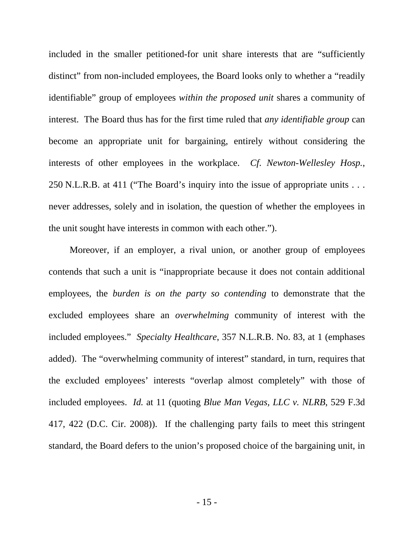included in the smaller petitioned-for unit share interests that are "sufficiently distinct" from non-included employees, the Board looks only to whether a "readily identifiable" group of employees *within the proposed unit* shares a community of interest. The Board thus has for the first time ruled that *any identifiable group* can become an appropriate unit for bargaining, entirely without considering the interests of other employees in the workplace. *Cf*. *Newton-Wellesley Hosp.*, 250 N.L.R.B. at 411 ("The Board's inquiry into the issue of appropriate units . . . never addresses, solely and in isolation, the question of whether the employees in the unit sought have interests in common with each other.").

Moreover, if an employer, a rival union, or another group of employees contends that such a unit is "inappropriate because it does not contain additional employees, the *burden is on the party so contending* to demonstrate that the excluded employees share an *overwhelming* community of interest with the included employees." *Specialty Healthcare*, 357 N.L.R.B. No. 83, at 1 (emphases added). The "overwhelming community of interest" standard, in turn, requires that the excluded employees' interests "overlap almost completely" with those of included employees. *Id.* at 11 (quoting *Blue Man Vegas, LLC v. NLRB*, 529 F.3d 417, 422 (D.C. Cir. 2008)). If the challenging party fails to meet this stringent standard, the Board defers to the union's proposed choice of the bargaining unit, in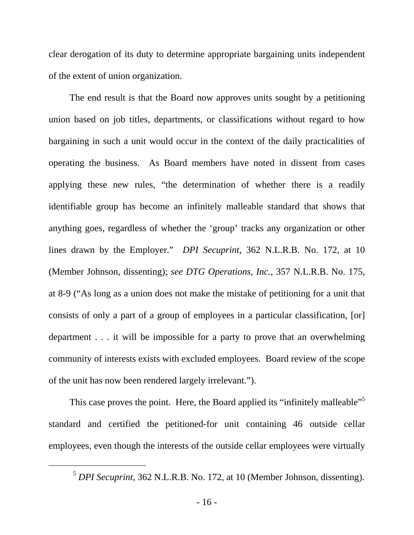clear derogation of its duty to determine appropriate bargaining units independent of the extent of union organization.

The end result is that the Board now approves units sought by a petitioning union based on job titles, departments, or classifications without regard to how bargaining in such a unit would occur in the context of the daily practicalities of operating the business. As Board members have noted in dissent from cases applying these new rules, "the determination of whether there is a readily identifiable group has become an infinitely malleable standard that shows that anything goes, regardless of whether the 'group' tracks any organization or other lines drawn by the Employer." *DPI Secuprint*, 362 N.L.R.B. No. 172, at 10 (Member Johnson, dissenting); *see DTG Operations, Inc.*, 357 N.L.R.B. No. 175, at 8-9 ("As long as a union does not make the mistake of petitioning for a unit that consists of only a part of a group of employees in a particular classification, [or] department . . . it will be impossible for a party to prove that an overwhelming community of interests exists with excluded employees. Board review of the scope of the unit has now been rendered largely irrelevant.").

This case proves the point. Here, the Board applied its "infinitely malleable"<sup>5</sup> standard and certified the petitioned-for unit containing 46 outside cellar employees, even though the interests of the outside cellar employees were virtually

 <sup>5</sup> *DPI Secuprint*, 362 N.L.R.B. No. 172, at 10 (Member Johnson, dissenting).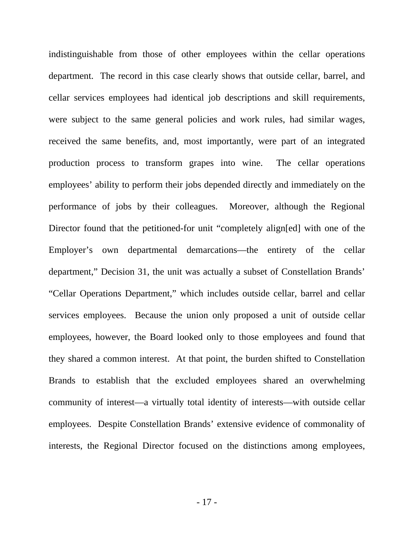indistinguishable from those of other employees within the cellar operations department. The record in this case clearly shows that outside cellar, barrel, and cellar services employees had identical job descriptions and skill requirements, were subject to the same general policies and work rules, had similar wages, received the same benefits, and, most importantly, were part of an integrated production process to transform grapes into wine. The cellar operations employees' ability to perform their jobs depended directly and immediately on the performance of jobs by their colleagues. Moreover, although the Regional Director found that the petitioned-for unit "completely align[ed] with one of the Employer's own departmental demarcations—the entirety of the cellar department," Decision 31, the unit was actually a subset of Constellation Brands' "Cellar Operations Department," which includes outside cellar, barrel and cellar services employees. Because the union only proposed a unit of outside cellar employees, however, the Board looked only to those employees and found that they shared a common interest. At that point, the burden shifted to Constellation Brands to establish that the excluded employees shared an overwhelming community of interest—a virtually total identity of interests—with outside cellar employees. Despite Constellation Brands' extensive evidence of commonality of interests, the Regional Director focused on the distinctions among employees,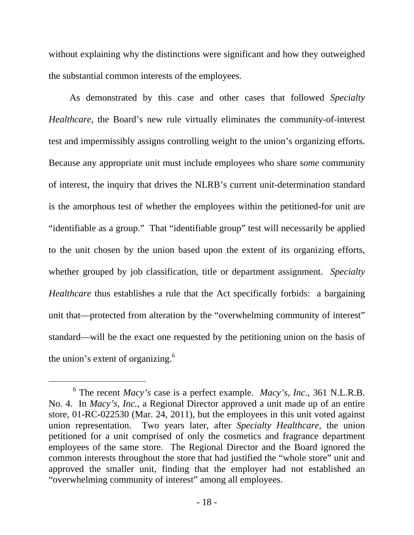without explaining why the distinctions were significant and how they outweighed the substantial common interests of the employees.

As demonstrated by this case and other cases that followed *Specialty Healthcare*, the Board's new rule virtually eliminates the community-of-interest test and impermissibly assigns controlling weight to the union's organizing efforts. Because any appropriate unit must include employees who share *some* community of interest, the inquiry that drives the NLRB's current unit-determination standard is the amorphous test of whether the employees within the petitioned-for unit are "identifiable as a group." That "identifiable group" test will necessarily be applied to the unit chosen by the union based upon the extent of its organizing efforts, whether grouped by job classification, title or department assignment. *Specialty Healthcare* thus establishes a rule that the Act specifically forbids: a bargaining unit that—protected from alteration by the "overwhelming community of interest" standard—will be the exact one requested by the petitioning union on the basis of the union's extent of organizing.<sup>6</sup>

 $\overline{6}$  The recent *Macy's* case is a perfect example. *Macy's, Inc*., 361 N.L.R.B. No. 4. In *Macy's, Inc.*, a Regional Director approved a unit made up of an entire store, 01-RC-022530 (Mar. 24, 2011), but the employees in this unit voted against union representation. Two years later, after *Specialty Healthcare*, the union petitioned for a unit comprised of only the cosmetics and fragrance department employees of the same store. The Regional Director and the Board ignored the common interests throughout the store that had justified the "whole store" unit and approved the smaller unit, finding that the employer had not established an "overwhelming community of interest" among all employees.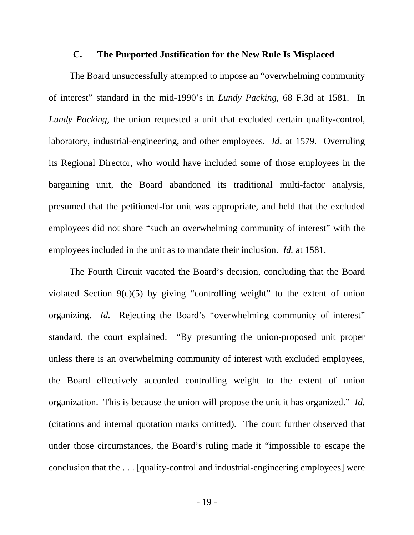#### **C. The Purported Justification for the New Rule Is Misplaced**

The Board unsuccessfully attempted to impose an "overwhelming community of interest" standard in the mid-1990's in *Lundy Packing*, 68 F.3d at 1581. In *Lundy Packing*, the union requested a unit that excluded certain quality-control, laboratory, industrial-engineering, and other employees. *Id*. at 1579. Overruling its Regional Director, who would have included some of those employees in the bargaining unit, the Board abandoned its traditional multi-factor analysis, presumed that the petitioned-for unit was appropriate, and held that the excluded employees did not share "such an overwhelming community of interest" with the employees included in the unit as to mandate their inclusion. *Id.* at 1581.

The Fourth Circuit vacated the Board's decision, concluding that the Board violated Section 9(c)(5) by giving "controlling weight" to the extent of union organizing. *Id.* Rejecting the Board's "overwhelming community of interest" standard, the court explained: "By presuming the union-proposed unit proper unless there is an overwhelming community of interest with excluded employees, the Board effectively accorded controlling weight to the extent of union organization. This is because the union will propose the unit it has organized." *Id.* (citations and internal quotation marks omitted). The court further observed that under those circumstances, the Board's ruling made it "impossible to escape the conclusion that the . . . [quality-control and industrial-engineering employees] were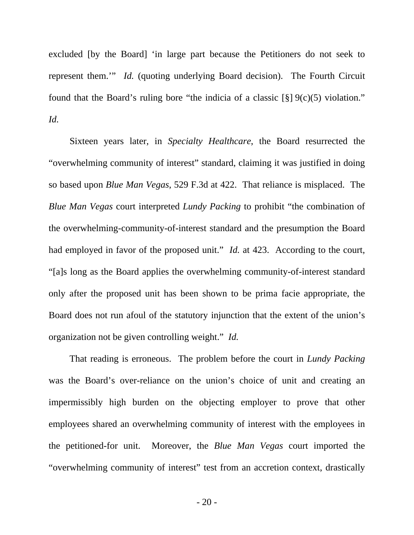excluded [by the Board] 'in large part because the Petitioners do not seek to represent them.'" *Id.* (quoting underlying Board decision). The Fourth Circuit found that the Board's ruling bore "the indicia of a classic  $\lceil \S \rceil 9(c)(5)$  violation." *Id.*

Sixteen years later, in *Specialty Healthcare*, the Board resurrected the "overwhelming community of interest" standard, claiming it was justified in doing so based upon *Blue Man Vegas*, 529 F.3d at 422. That reliance is misplaced. The *Blue Man Vegas* court interpreted *Lundy Packing* to prohibit "the combination of the overwhelming-community-of-interest standard and the presumption the Board had employed in favor of the proposed unit." *Id.* at 423. According to the court, "[a]s long as the Board applies the overwhelming community-of-interest standard only after the proposed unit has been shown to be prima facie appropriate, the Board does not run afoul of the statutory injunction that the extent of the union's organization not be given controlling weight." *Id.*

That reading is erroneous. The problem before the court in *Lundy Packing* was the Board's over-reliance on the union's choice of unit and creating an impermissibly high burden on the objecting employer to prove that other employees shared an overwhelming community of interest with the employees in the petitioned-for unit. Moreover, the *Blue Man Vegas* court imported the "overwhelming community of interest" test from an accretion context, drastically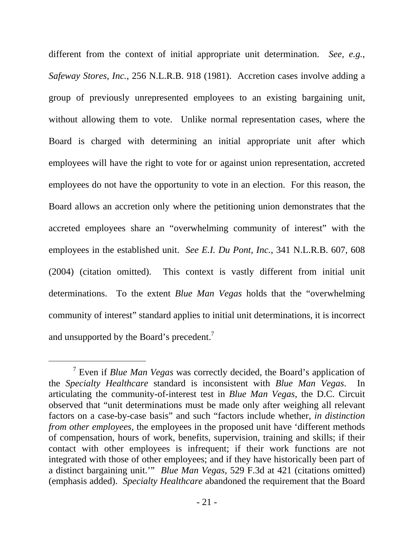different from the context of initial appropriate unit determination. *See, e.g.*, *Safeway Stores, Inc.*, 256 N.L.R.B. 918 (1981). Accretion cases involve adding a group of previously unrepresented employees to an existing bargaining unit, without allowing them to vote. Unlike normal representation cases, where the Board is charged with determining an initial appropriate unit after which employees will have the right to vote for or against union representation, accreted employees do not have the opportunity to vote in an election. For this reason, the Board allows an accretion only where the petitioning union demonstrates that the accreted employees share an "overwhelming community of interest" with the employees in the established unit. *See E.I. Du Pont, Inc.*, 341 N.L.R.B. 607, 608 (2004) (citation omitted). This context is vastly different from initial unit determinations. To the extent *Blue Man Vegas* holds that the "overwhelming community of interest" standard applies to initial unit determinations, it is incorrect and unsupported by the Board's precedent.<sup>7</sup>

 <sup>7</sup> Even if *Blue Man Vegas* was correctly decided, the Board's application of the *Specialty Healthcare* standard is inconsistent with *Blue Man Vegas*. In articulating the community-of-interest test in *Blue Man Vegas*, the D.C. Circuit observed that "unit determinations must be made only after weighing all relevant factors on a case-by-case basis" and such "factors include whether, *in distinction from other employees*, the employees in the proposed unit have 'different methods' of compensation, hours of work, benefits, supervision, training and skills; if their contact with other employees is infrequent; if their work functions are not integrated with those of other employees; and if they have historically been part of a distinct bargaining unit.'" *Blue Man Vegas*, 529 F.3d at 421 (citations omitted) (emphasis added). *Specialty Healthcare* abandoned the requirement that the Board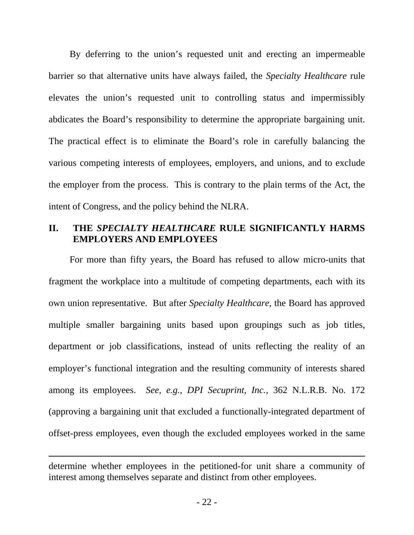By deferring to the union's requested unit and erecting an impermeable barrier so that alternative units have always failed, the *Specialty Healthcare* rule elevates the union's requested unit to controlling status and impermissibly abdicates the Board's responsibility to determine the appropriate bargaining unit. The practical effect is to eliminate the Board's role in carefully balancing the various competing interests of employees, employers, and unions, and to exclude the employer from the process. This is contrary to the plain terms of the Act, the intent of Congress, and the policy behind the NLRA.

# **II. THE** *SPECIALTY HEALTHCARE* **RULE SIGNIFICANTLY HARMS EMPLOYERS AND EMPLOYEES**

For more than fifty years, the Board has refused to allow micro-units that fragment the workplace into a multitude of competing departments, each with its own union representative. But after *Specialty Healthcare*, the Board has approved multiple smaller bargaining units based upon groupings such as job titles, department or job classifications, instead of units reflecting the reality of an employer's functional integration and the resulting community of interests shared among its employees. *See, e.g.*, *DPI Secuprint, Inc.*, 362 N.L.R.B. No. 172 (approving a bargaining unit that excluded a functionally-integrated department of offset-press employees, even though the excluded employees worked in the same

 $\overline{a}$ 

determine whether employees in the petitioned-for unit share a community of interest among themselves separate and distinct from other employees.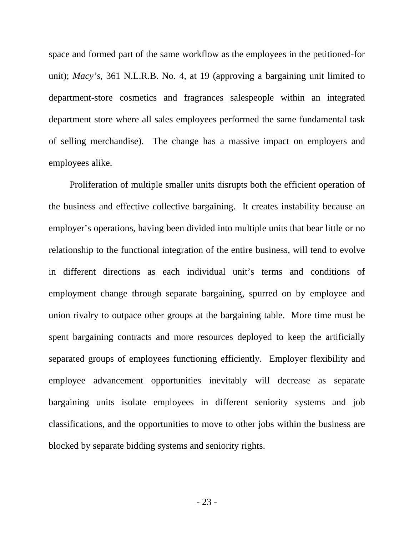space and formed part of the same workflow as the employees in the petitioned-for unit); *Macy's*, 361 N.L.R.B. No. 4, at 19 (approving a bargaining unit limited to department-store cosmetics and fragrances salespeople within an integrated department store where all sales employees performed the same fundamental task of selling merchandise). The change has a massive impact on employers and employees alike.

Proliferation of multiple smaller units disrupts both the efficient operation of the business and effective collective bargaining. It creates instability because an employer's operations, having been divided into multiple units that bear little or no relationship to the functional integration of the entire business, will tend to evolve in different directions as each individual unit's terms and conditions of employment change through separate bargaining, spurred on by employee and union rivalry to outpace other groups at the bargaining table. More time must be spent bargaining contracts and more resources deployed to keep the artificially separated groups of employees functioning efficiently. Employer flexibility and employee advancement opportunities inevitably will decrease as separate bargaining units isolate employees in different seniority systems and job classifications, and the opportunities to move to other jobs within the business are blocked by separate bidding systems and seniority rights.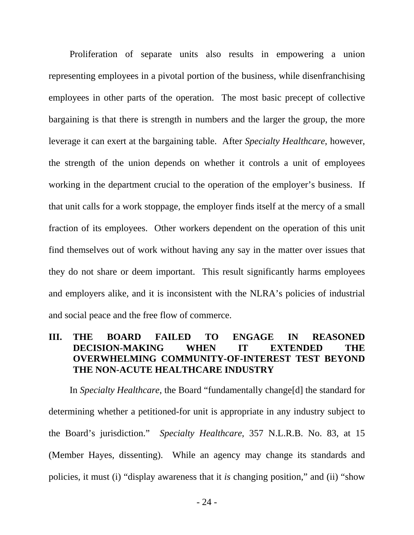Proliferation of separate units also results in empowering a union representing employees in a pivotal portion of the business, while disenfranchising employees in other parts of the operation. The most basic precept of collective bargaining is that there is strength in numbers and the larger the group, the more leverage it can exert at the bargaining table. After *Specialty Healthcare*, however, the strength of the union depends on whether it controls a unit of employees working in the department crucial to the operation of the employer's business. If that unit calls for a work stoppage, the employer finds itself at the mercy of a small fraction of its employees. Other workers dependent on the operation of this unit find themselves out of work without having any say in the matter over issues that they do not share or deem important. This result significantly harms employees and employers alike, and it is inconsistent with the NLRA's policies of industrial and social peace and the free flow of commerce.

# **III. THE BOARD FAILED TO ENGAGE IN REASONED DECISION-MAKING WHEN IT EXTENDED THE OVERWHELMING COMMUNITY-OF-INTEREST TEST BEYOND THE NON-ACUTE HEALTHCARE INDUSTRY**

In *Specialty Healthcare*, the Board "fundamentally change[d] the standard for determining whether a petitioned-for unit is appropriate in any industry subject to the Board's jurisdiction." *Specialty Healthcare*, 357 N.L.R.B. No. 83, at 15 (Member Hayes, dissenting). While an agency may change its standards and policies, it must (i) "display awareness that it *is* changing position," and (ii) "show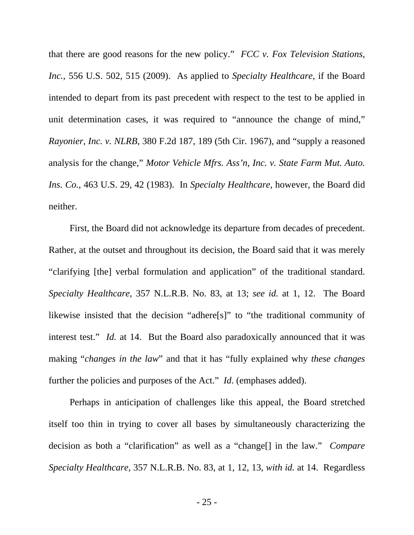that there are good reasons for the new policy." *FCC v. Fox Television Stations, Inc.*, 556 U.S. 502, 515 (2009). As applied to *Specialty Healthcare*, if the Board intended to depart from its past precedent with respect to the test to be applied in unit determination cases, it was required to "announce the change of mind," *Rayonier, Inc. v. NLRB*, 380 F.2d 187, 189 (5th Cir. 1967), and "supply a reasoned analysis for the change," *Motor Vehicle Mfrs. Ass'n, Inc. v. State Farm Mut. Auto. Ins. Co.*, 463 U.S. 29, 42 (1983). In *Specialty Healthcare*, however, the Board did neither.

First, the Board did not acknowledge its departure from decades of precedent. Rather, at the outset and throughout its decision, the Board said that it was merely "clarifying [the] verbal formulation and application" of the traditional standard. *Specialty Healthcare*, 357 N.L.R.B. No. 83, at 13; *see id.* at 1, 12. The Board likewise insisted that the decision "adhere[s]" to "the traditional community of interest test." *Id.* at 14. But the Board also paradoxically announced that it was making "*changes in the law*" and that it has "fully explained why *these changes* further the policies and purposes of the Act." *Id*. (emphases added).

Perhaps in anticipation of challenges like this appeal, the Board stretched itself too thin in trying to cover all bases by simultaneously characterizing the decision as both a "clarification" as well as a "change[] in the law." *Compare Specialty Healthcare*, 357 N.L.R.B. No. 83, at 1, 12, 13, *with id.* at 14. Regardless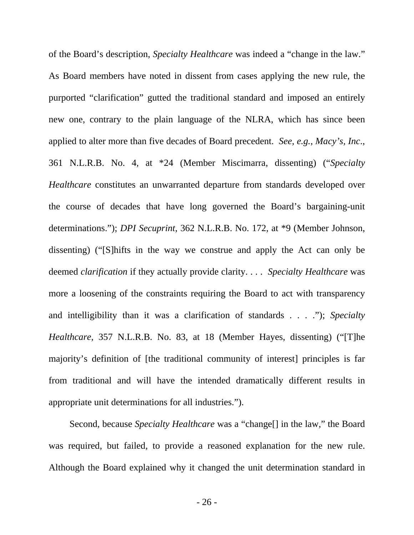of the Board's description, *Specialty Healthcare* was indeed a "change in the law." As Board members have noted in dissent from cases applying the new rule, the purported "clarification" gutted the traditional standard and imposed an entirely new one, contrary to the plain language of the NLRA, which has since been applied to alter more than five decades of Board precedent. *See, e.g.*, *Macy's, Inc*., 361 N.L.R.B. No. 4, at \*24 (Member Miscimarra, dissenting) ("*Specialty Healthcare* constitutes an unwarranted departure from standards developed over the course of decades that have long governed the Board's bargaining-unit determinations."); *DPI Secuprint*, 362 N.L.R.B. No. 172, at \*9 (Member Johnson, dissenting) ("[S]hifts in the way we construe and apply the Act can only be deemed *clarification* if they actually provide clarity. . . . *Specialty Healthcare* was more a loosening of the constraints requiring the Board to act with transparency and intelligibility than it was a clarification of standards . . . ."); *Specialty Healthcare*, 357 N.L.R.B. No. 83, at 18 (Member Hayes, dissenting) ("[T]he majority's definition of [the traditional community of interest] principles is far from traditional and will have the intended dramatically different results in appropriate unit determinations for all industries.").

Second, because *Specialty Healthcare* was a "change[] in the law," the Board was required, but failed, to provide a reasoned explanation for the new rule. Although the Board explained why it changed the unit determination standard in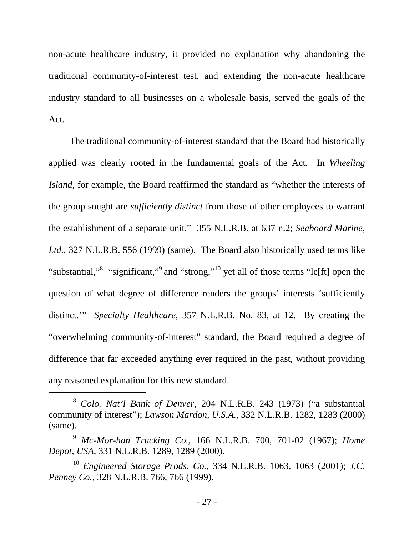non-acute healthcare industry, it provided no explanation why abandoning the traditional community-of-interest test, and extending the non-acute healthcare industry standard to all businesses on a wholesale basis, served the goals of the Act.

The traditional community-of-interest standard that the Board had historically applied was clearly rooted in the fundamental goals of the Act. In *Wheeling Island*, for example, the Board reaffirmed the standard as "whether the interests of the group sought are *sufficiently distinct* from those of other employees to warrant the establishment of a separate unit." 355 N.L.R.B. at 637 n.2; *Seaboard Marine, Ltd.*, 327 N.L.R.B. 556 (1999) (same). The Board also historically used terms like "substantial,"<sup>8</sup> "significant,"<sup>9</sup> and "strong,"<sup>10</sup> yet all of those terms "le[ft] open the question of what degree of difference renders the groups' interests 'sufficiently distinct.'" *Specialty Healthcare*, 357 N.L.R.B. No. 83, at 12. By creating the "overwhelming community-of-interest" standard, the Board required a degree of difference that far exceeded anything ever required in the past, without providing any reasoned explanation for this new standard.

 <sup>8</sup> *Colo. Nat'l Bank of Denver*, 204 N.L.R.B. 243 (1973) ("a substantial community of interest"); *Lawson Mardon, U.S.A.*, 332 N.L.R.B. 1282, 1283 (2000) (same).

<sup>9</sup> *Mc-Mor-han Trucking Co.*, 166 N.L.R.B. 700, 701-02 (1967); *Home Depot, USA*, 331 N.L.R.B. 1289, 1289 (2000).

<sup>10</sup> *Engineered Storage Prods. Co.*, 334 N.L.R.B. 1063, 1063 (2001); *J.C. Penney Co.*, 328 N.L.R.B. 766, 766 (1999).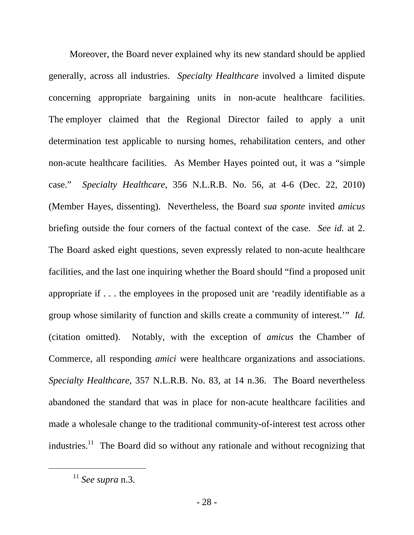Moreover, the Board never explained why its new standard should be applied generally, across all industries. *Specialty Healthcare* involved a limited dispute concerning appropriate bargaining units in non-acute healthcare facilities. The employer claimed that the Regional Director failed to apply a unit determination test applicable to nursing homes, rehabilitation centers, and other non-acute healthcare facilities. As Member Hayes pointed out, it was a "simple case." *Specialty Healthcare*, 356 N.L.R.B. No. 56, at 4-6 (Dec. 22, 2010) (Member Hayes, dissenting). Nevertheless, the Board *sua sponte* invited *amicus*  briefing outside the four corners of the factual context of the case. *See id.* at 2. The Board asked eight questions, seven expressly related to non-acute healthcare facilities, and the last one inquiring whether the Board should "find a proposed unit appropriate if . . . the employees in the proposed unit are 'readily identifiable as a group whose similarity of function and skills create a community of interest.'" *Id.* (citation omitted). Notably, with the exception of *amicus* the Chamber of Commerce, all responding *amici* were healthcare organizations and associations. *Specialty Healthcare*, 357 N.L.R.B. No. 83, at 14 n.36. The Board nevertheless abandoned the standard that was in place for non-acute healthcare facilities and made a wholesale change to the traditional community-of-interest test across other industries.<sup>11</sup> The Board did so without any rationale and without recognizing that

 <sup>11</sup> *See supra* n.3.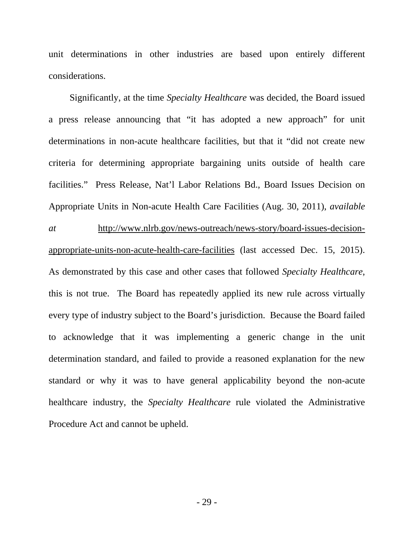unit determinations in other industries are based upon entirely different considerations.

Significantly, at the time *Specialty Healthcare* was decided, the Board issued a press release announcing that "it has adopted a new approach" for unit determinations in non-acute healthcare facilities, but that it "did not create new criteria for determining appropriate bargaining units outside of health care facilities." Press Release, Nat'l Labor Relations Bd., Board Issues Decision on Appropriate Units in Non-acute Health Care Facilities (Aug. 30, 2011), *available at* http://www.nlrb.gov/news-outreach/news-story/board-issues-decisionappropriate-units-non-acute-health-care-facilities (last accessed Dec. 15, 2015). As demonstrated by this case and other cases that followed *Specialty Healthcare*, this is not true. The Board has repeatedly applied its new rule across virtually every type of industry subject to the Board's jurisdiction. Because the Board failed to acknowledge that it was implementing a generic change in the unit determination standard, and failed to provide a reasoned explanation for the new standard or why it was to have general applicability beyond the non-acute healthcare industry, the *Specialty Healthcare* rule violated the Administrative Procedure Act and cannot be upheld.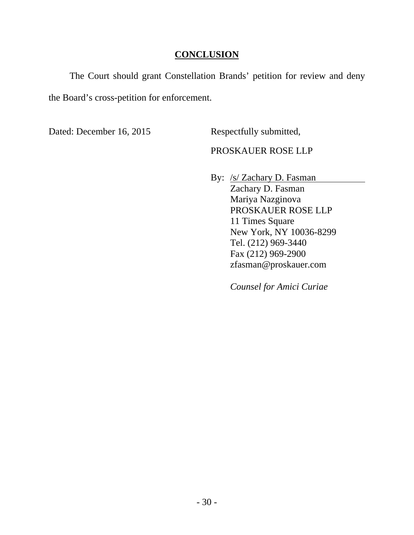# **CONCLUSION**

The Court should grant Constellation Brands' petition for review and deny the Board's cross-petition for enforcement.

Dated: December 16, 2015 Respectfully submitted,

# PROSKAUER ROSE LLP

 By: /s/ Zachary D. Fasman Zachary D. Fasman Mariya Nazginova PROSKAUER ROSE LLP 11 Times Square New York, NY 10036-8299 Tel. (212) 969-3440 Fax (212) 969-2900 zfasman@proskauer.com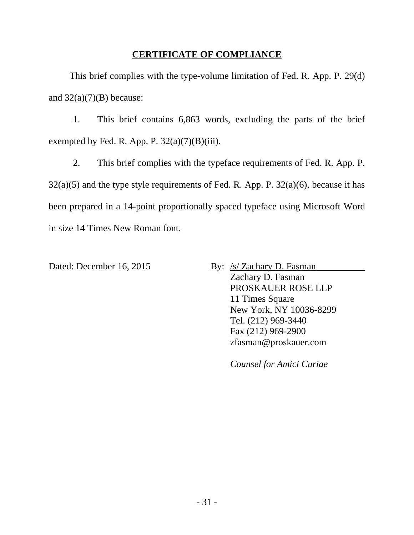# **CERTIFICATE OF COMPLIANCE**

This brief complies with the type-volume limitation of Fed. R. App. P. 29(d) and  $32(a)(7)(B)$  because:

1. This brief contains 6,863 words, excluding the parts of the brief exempted by Fed. R. App. P.  $32(a)(7)(B)(iii)$ .

2. This brief complies with the typeface requirements of Fed. R. App. P.  $32(a)(5)$  and the type style requirements of Fed. R. App. P.  $32(a)(6)$ , because it has been prepared in a 14-point proportionally spaced typeface using Microsoft Word in size 14 Times New Roman font.

Dated: December 16, 2015 By: /s/ Zachary D. Fasman Zachary D. Fasman PROSKAUER ROSE LLP 11 Times Square New York, NY 10036-8299 Tel. (212) 969-3440 Fax (212) 969-2900 zfasman@proskauer.com